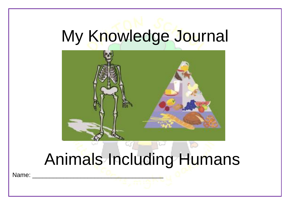# My Knowledge Journal



# Animals Including Humans

Name: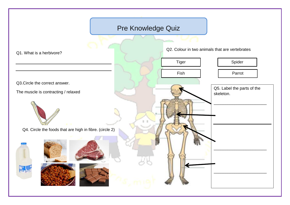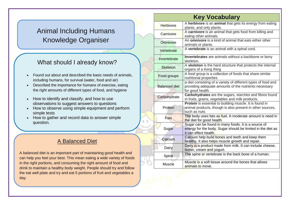### Animal Including Humans Knowledge Organiser

#### What should I already know?

- Found out about and described the basic needs of animals, including humans, for survival (water, food and air)
- Described the importance for humans of exercise, eating the right amounts of different types of food, and hygiene
- How to identify and classify, and how to use observations to suggest answers to questions
- How to observe using simple equipment and perform simple tests
- How to gather and record data to answer simple question.

#### A Balanced Diet

A balanced diet is an important part of maintaining good health and can help you feel your best. This mean eating a wide variety of foods in the right portions, and consuming the right amount of food and drink to maintain a healthy body weight. People should try and follow the eat well plate and try and eat 5 portions of fruit and vegetables a day.

| <b>Key Vocabulary</b> |                                                                                                                                             |
|-----------------------|---------------------------------------------------------------------------------------------------------------------------------------------|
| <b>Herbivore</b>      | A herbivore is an animal that gets its energy from eating<br>plants, and only plants.                                                       |
| Carnivore             | A carnivore is an animal that gets food from killing and<br>eating other animals.                                                           |
| Omnivore              | An omnivore is a kind of animal that eats either other<br>animals or plants.                                                                |
| Vertebrate            | A vertebrate is an animal with a spinal cord.                                                                                               |
| Invertebrate          | Invertebrates are animals without a backbone or bony<br>skeleton.                                                                           |
| <b>Skeleton</b>       | A skeleton is the hard structure that protects the internal<br>organs of a living thing                                                     |
| Food groups           | A food group is a collection of foods that share similar<br>nutritional properties                                                          |
| <b>Balanced diet</b>  | a diet consisting of a variety of different types of food and<br>providing adequate amounts of the nutrients necessary<br>for good health.  |
| Carbohydrate          | Carbohydrates are the sugars, starches and fibres found<br>in fruits, grains, vegetables and milk products.                                 |
| Protein               | Protein is essential to building muscle. It is found in<br>animal products, though is also present in other sources,<br>such as nuts.       |
| Fats                  | The body uses fats as fuel. A moderate amount is need in<br>the diet for good health.                                                       |
| Sugar                 | Sugar can be found in many foods. It is a source of<br>energy for the body. Sugar should be limited in the diet as<br>it can effect health. |
| Calcium               | Calcium help build bones and teeth and keep them<br>healthy. It also helps muscle growth and repair.                                        |
| Dairy                 | Dairy is a product made from milk. It can include cheese,<br>butter, cream and yogurt.                                                      |
| Spine                 | The spine or vertebrate is the back bone of a human.                                                                                        |
| <b>Muscle</b>         | Muscle is a soft tissue around the bones that allows<br>animals to move.                                                                    |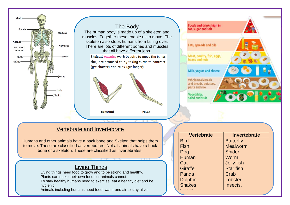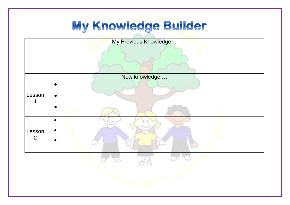## My Knowledge Builder

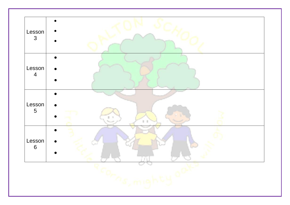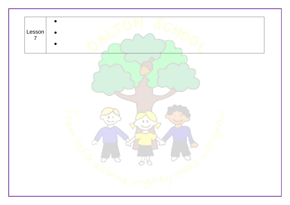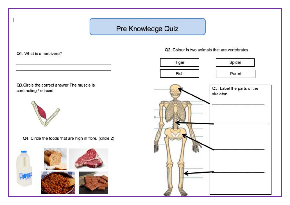### Pre Knowledge Quiz

Q1. What is a herbivore?

Q3. Circle the correct answer The muscle is contracting / relaxed



Q4. Circle the foods that are high in fibre. (circle 2)



Q2. Colour in two animals that are vertebrates